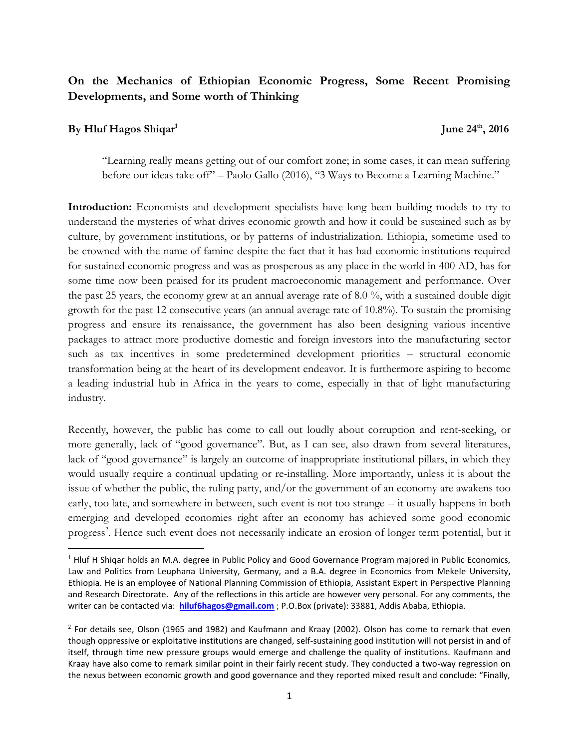## **On the Mechanics of Ethiopian Economic Progress, Some Recent Promising Developments, and Some worth of Thinking**

## **By Hluf Hagos Shiqar<sup>1</sup>**

 $\overline{a}$ 

## **1 June**  $24^{\text{th}}$ ,  $2016$

"Learning really means getting out of our comfort zone; in some cases, it can mean suffering before our ideas take off" – Paolo Gallo (2016), "3 Ways to Become a Learning Machine."

**Introduction:** Economists and development specialists have long been building models to try to understand the mysteries of what drives economic growth and how it could be sustained such as by culture, by government institutions, or by patterns of industrialization. Ethiopia, sometime used to be crowned with the name of famine despite the fact that it has had economic institutions required for sustained economic progress and was as prosperous as any place in the world in 400 AD, has for some time now been praised for its prudent macroeconomic management and performance. Over the past 25 years, the economy grew at an annual average rate of 8.0 %, with a sustained double digit growth for the past 12 consecutive years (an annual average rate of 10.8%). To sustain the promising progress and ensure its renaissance, the government has also been designing various incentive packages to attract more productive domestic and foreign investors into the manufacturing sector such as tax incentives in some predetermined development priorities – structural economic transformation being at the heart of its development endeavor. It is furthermore aspiring to become a leading industrial hub in Africa in the years to come, especially in that of light manufacturing industry.

Recently, however, the public has come to call out loudly about corruption and rent-seeking, or more generally, lack of "good governance". But, as I can see, also drawn from several literatures, lack of "good governance" is largely an outcome of inappropriate institutional pillars, in which they would usually require a continual updating or re-installing. More importantly, unless it is about the issue of whether the public, the ruling party, and/or the government of an economy are awakens too early, too late, and somewhere in between, such event is not too strange -- it usually happens in both emerging and developed economies right after an economy has achieved some good economic progress<sup>2</sup>. Hence such event does not necessarily indicate an erosion of longer term potential, but it

<sup>&</sup>lt;sup>1</sup> Hluf H Shiqar holds an M.A. degree in Public Policy and Good Governance Program majored in Public Economics, Law and Politics from Leuphana University, Germany, and a B.A. degree in Economics from Mekele University, Ethiopia. He is an employee of National Planning Commission of Ethiopia, Assistant Expert in Perspective Planning and Research Directorate. Any of the reflections in this article are however very personal. For any comments, the writer can be contacted via: **[hiluf6hagos@gmail.com](mailto:hiluf6hagos@gmail.com)** ; P.O.Box (private): 33881, Addis Ababa, Ethiopia.

 $2$  For details see, Olson (1965 and 1982) and Kaufmann and Kraay (2002). Olson has come to remark that even though oppressive or exploitative institutions are changed, self-sustaining good institution will not persist in and of itself, through time new pressure groups would emerge and challenge the quality of institutions. Kaufmann and Kraay have also come to remark similar point in their fairly recent study. They conducted a two-way regression on the nexus between economic growth and good governance and they reported mixed result and conclude: "Finally,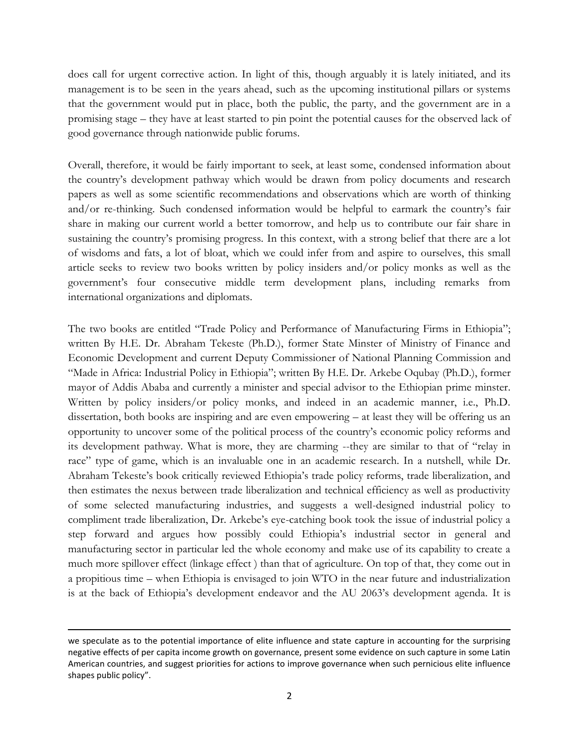does call for urgent corrective action. In light of this, though arguably it is lately initiated, and its management is to be seen in the years ahead, such as the upcoming institutional pillars or systems that the government would put in place, both the public, the party, and the government are in a promising stage – they have at least started to pin point the potential causes for the observed lack of good governance through nationwide public forums.

Overall, therefore, it would be fairly important to seek, at least some, condensed information about the country's development pathway which would be drawn from policy documents and research papers as well as some scientific recommendations and observations which are worth of thinking and/or re-thinking. Such condensed information would be helpful to earmark the country's fair share in making our current world a better tomorrow, and help us to contribute our fair share in sustaining the country's promising progress. In this context, with a strong belief that there are a lot of wisdoms and fats, a lot of bloat, which we could infer from and aspire to ourselves, this small article seeks to review two books written by policy insiders and/or policy monks as well as the government's four consecutive middle term development plans, including remarks from international organizations and diplomats.

The two books are entitled "Trade Policy and Performance of Manufacturing Firms in Ethiopia"; written By H.E. Dr. Abraham Tekeste (Ph.D.), former State Minster of Ministry of Finance and Economic Development and current Deputy Commissioner of National Planning Commission and "Made in Africa: Industrial Policy in Ethiopia"; written By H.E. Dr. Arkebe Oqubay (Ph.D.), former mayor of Addis Ababa and currently a minister and special advisor to the Ethiopian prime minster. Written by policy insiders/or policy monks, and indeed in an academic manner, i.e., Ph.D. dissertation, both books are inspiring and are even empowering – at least they will be offering us an opportunity to uncover some of the political process of the country's economic policy reforms and its development pathway. What is more, they are charming --they are similar to that of "relay in race" type of game, which is an invaluable one in an academic research. In a nutshell, while Dr. Abraham Tekeste's book critically reviewed Ethiopia's trade policy reforms, trade liberalization, and then estimates the nexus between trade liberalization and technical efficiency as well as productivity of some selected manufacturing industries, and suggests a well-designed industrial policy to compliment trade liberalization, Dr. Arkebe's eye-catching book took the issue of industrial policy a step forward and argues how possibly could Ethiopia's industrial sector in general and manufacturing sector in particular led the whole economy and make use of its capability to create a much more spillover effect (linkage effect ) than that of agriculture. On top of that, they come out in a propitious time – when Ethiopia is envisaged to join WTO in the near future and industrialization is at the back of Ethiopia's development endeavor and the AU 2063's development agenda. It is

 $\overline{a}$ 

we speculate as to the potential importance of elite influence and state capture in accounting for the surprising negative effects of per capita income growth on governance, present some evidence on such capture in some Latin American countries, and suggest priorities for actions to improve governance when such pernicious elite influence shapes public policy".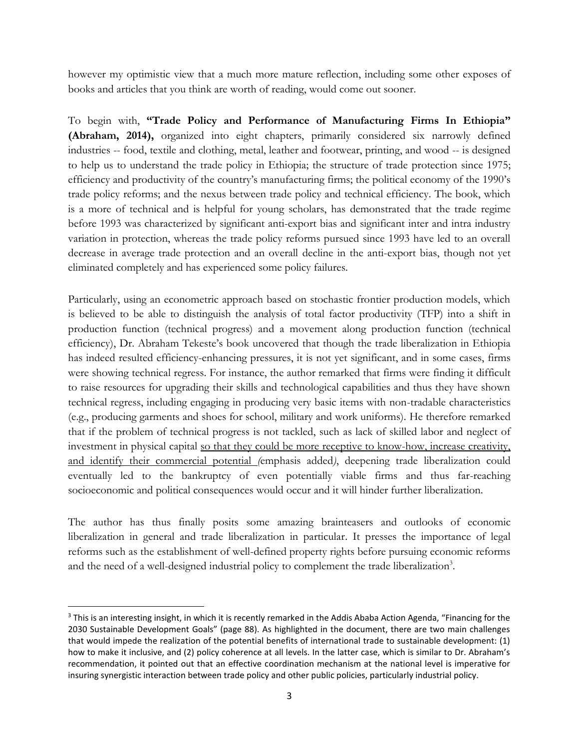however my optimistic view that a much more mature reflection, including some other exposes of books and articles that you think are worth of reading, would come out sooner.

To begin with, **"Trade Policy and Performance of Manufacturing Firms In Ethiopia" (Abraham, 2014),** organized into eight chapters, primarily considered six narrowly defined industries -- food, textile and clothing, metal, leather and footwear, printing, and wood -- is designed to help us to understand the trade policy in Ethiopia; the structure of trade protection since 1975; efficiency and productivity of the country's manufacturing firms; the political economy of the 1990's trade policy reforms; and the nexus between trade policy and technical efficiency. The book, which is a more of technical and is helpful for young scholars, has demonstrated that the trade regime before 1993 was characterized by significant anti-export bias and significant inter and intra industry variation in protection, whereas the trade policy reforms pursued since 1993 have led to an overall decrease in average trade protection and an overall decline in the anti-export bias, though not yet eliminated completely and has experienced some policy failures.

Particularly, using an econometric approach based on stochastic frontier production models, which is believed to be able to distinguish the analysis of total factor productivity (TFP) into a shift in production function (technical progress) and a movement along production function (technical efficiency), Dr. Abraham Tekeste's book uncovered that though the trade liberalization in Ethiopia has indeed resulted efficiency-enhancing pressures, it is not yet significant, and in some cases, firms were showing technical regress. For instance, the author remarked that firms were finding it difficult to raise resources for upgrading their skills and technological capabilities and thus they have shown technical regress, including engaging in producing very basic items with non-tradable characteristics (e.g., producing garments and shoes for school, military and work uniforms). He therefore remarked that if the problem of technical progress is not tackled, such as lack of skilled labor and neglect of investment in physical capital so that they could be more receptive to know-how, increase creativity, and identify their commercial potential *(*emphasis added*)*, deepening trade liberalization could eventually led to the bankruptcy of even potentially viable firms and thus far-reaching socioeconomic and political consequences would occur and it will hinder further liberalization.

The author has thus finally posits some amazing brainteasers and outlooks of economic liberalization in general and trade liberalization in particular. It presses the importance of legal reforms such as the establishment of well-defined property rights before pursuing economic reforms and the need of a well-designed industrial policy to complement the trade liberalization<sup>3</sup>.

 $\overline{a}$ 

<sup>&</sup>lt;sup>3</sup> This is an interesting insight, in which it is recently remarked in the Addis Ababa Action Agenda, "Financing for the 2030 Sustainable Development Goals" (page 88). As highlighted in the document, there are two main challenges that would impede the realization of the potential benefits of international trade to sustainable development: (1) how to make it inclusive, and (2) policy coherence at all levels. In the latter case, which is similar to Dr. Abraham's recommendation, it pointed out that an effective coordination mechanism at the national level is imperative for insuring synergistic interaction between trade policy and other public policies, particularly industrial policy.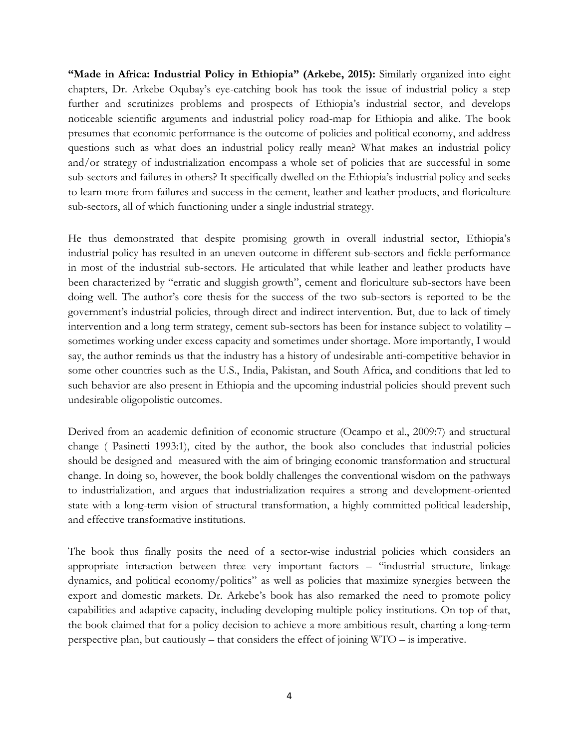**"Made in Africa: Industrial Policy in Ethiopia" (Arkebe, 2015):** Similarly organized into eight chapters, Dr. Arkebe Oqubay's eye-catching book has took the issue of industrial policy a step further and scrutinizes problems and prospects of Ethiopia's industrial sector, and develops noticeable scientific arguments and industrial policy road-map for Ethiopia and alike. The book presumes that economic performance is the outcome of policies and political economy, and address questions such as what does an industrial policy really mean? What makes an industrial policy and/or strategy of industrialization encompass a whole set of policies that are successful in some sub-sectors and failures in others? It specifically dwelled on the Ethiopia's industrial policy and seeks to learn more from failures and success in the cement, leather and leather products, and floriculture sub-sectors, all of which functioning under a single industrial strategy.

He thus demonstrated that despite promising growth in overall industrial sector, Ethiopia's industrial policy has resulted in an uneven outcome in different sub-sectors and fickle performance in most of the industrial sub-sectors. He articulated that while leather and leather products have been characterized by "erratic and sluggish growth", cement and floriculture sub-sectors have been doing well. The author's core thesis for the success of the two sub-sectors is reported to be the government's industrial policies, through direct and indirect intervention. But, due to lack of timely intervention and a long term strategy, cement sub-sectors has been for instance subject to volatility – sometimes working under excess capacity and sometimes under shortage. More importantly, I would say, the author reminds us that the industry has a history of undesirable anti-competitive behavior in some other countries such as the U.S., India, Pakistan, and South Africa, and conditions that led to such behavior are also present in Ethiopia and the upcoming industrial policies should prevent such undesirable oligopolistic outcomes.

Derived from an academic definition of economic structure (Ocampo et al., 2009:7) and structural change ( Pasinetti 1993:1), cited by the author, the book also concludes that industrial policies should be designed and measured with the aim of bringing economic transformation and structural change. In doing so, however, the book boldly challenges the conventional wisdom on the pathways to industrialization, and argues that industrialization requires a strong and development-oriented state with a long-term vision of structural transformation, a highly committed political leadership, and effective transformative institutions.

The book thus finally posits the need of a sector-wise industrial policies which considers an appropriate interaction between three very important factors – "industrial structure, linkage dynamics, and political economy/politics" as well as policies that maximize synergies between the export and domestic markets. Dr. Arkebe's book has also remarked the need to promote policy capabilities and adaptive capacity, including developing multiple policy institutions. On top of that, the book claimed that for a policy decision to achieve a more ambitious result, charting a long-term perspective plan, but cautiously – that considers the effect of joining WTO – is imperative.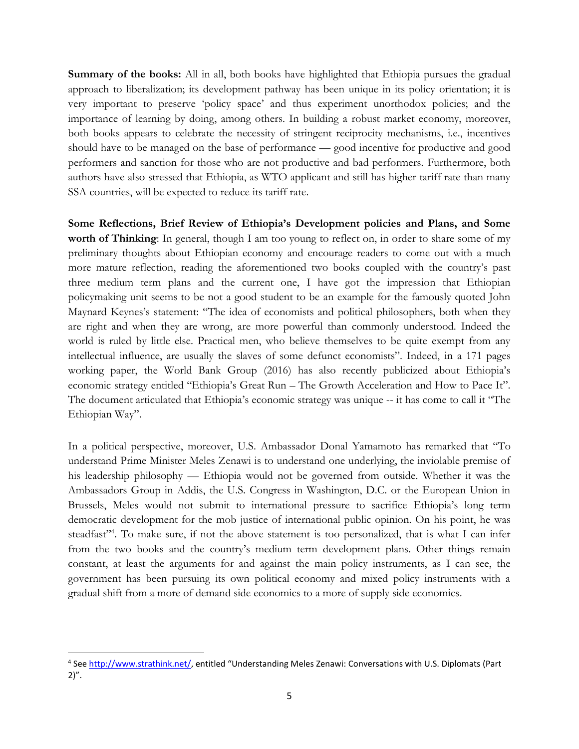**Summary of the books:** All in all, both books have highlighted that Ethiopia pursues the gradual approach to liberalization; its development pathway has been unique in its policy orientation; it is very important to preserve 'policy space' and thus experiment unorthodox policies; and the importance of learning by doing, among others. In building a robust market economy, moreover, both books appears to celebrate the necessity of stringent reciprocity mechanisms, i.e., incentives should have to be managed on the base of performance — good incentive for productive and good performers and sanction for those who are not productive and bad performers. Furthermore, both authors have also stressed that Ethiopia, as WTO applicant and still has higher tariff rate than many SSA countries, will be expected to reduce its tariff rate.

**Some Reflections, Brief Review of Ethiopia's Development policies and Plans, and Some worth of Thinking**: In general, though I am too young to reflect on, in order to share some of my preliminary thoughts about Ethiopian economy and encourage readers to come out with a much more mature reflection, reading the aforementioned two books coupled with the country's past three medium term plans and the current one, I have got the impression that Ethiopian policymaking unit seems to be not a good student to be an example for the famously quoted John Maynard Keynes's statement: "The idea of economists and political philosophers, both when they are right and when they are wrong, are more powerful than commonly understood. Indeed the world is ruled by little else. Practical men, who believe themselves to be quite exempt from any intellectual influence, are usually the slaves of some defunct economists". Indeed, in a 171 pages working paper, the World Bank Group (2016) has also recently publicized about Ethiopia's economic strategy entitled "Ethiopia's Great Run – The Growth Acceleration and How to Pace It". The document articulated that Ethiopia's economic strategy was unique -- it has come to call it "The Ethiopian Way".

In a political perspective, moreover, U.S. Ambassador Donal Yamamoto has remarked that "To understand Prime Minister Meles Zenawi is to understand one underlying, the inviolable premise of his leadership philosophy — Ethiopia would not be governed from outside. Whether it was the Ambassadors Group in Addis, the U.S. Congress in Washington, D.C. or the European Union in Brussels, Meles would not submit to international pressure to sacrifice Ethiopia's long term democratic development for the mob justice of international public opinion. On his point, he was steadfast"<sup>4</sup>. To make sure, if not the above statement is too personalized, that is what I can infer from the two books and the country's medium term development plans. Other things remain constant, at least the arguments for and against the main policy instruments, as I can see, the government has been pursuing its own political economy and mixed policy instruments with a gradual shift from a more of demand side economics to a more of supply side economics.

l

<sup>&</sup>lt;sup>4</sup> See [http://www.strathink.net/,](http://www.strathink.net/) entitled "Understanding Meles Zenawi: Conversations with U.S. Diplomats (Part  $2)$ ".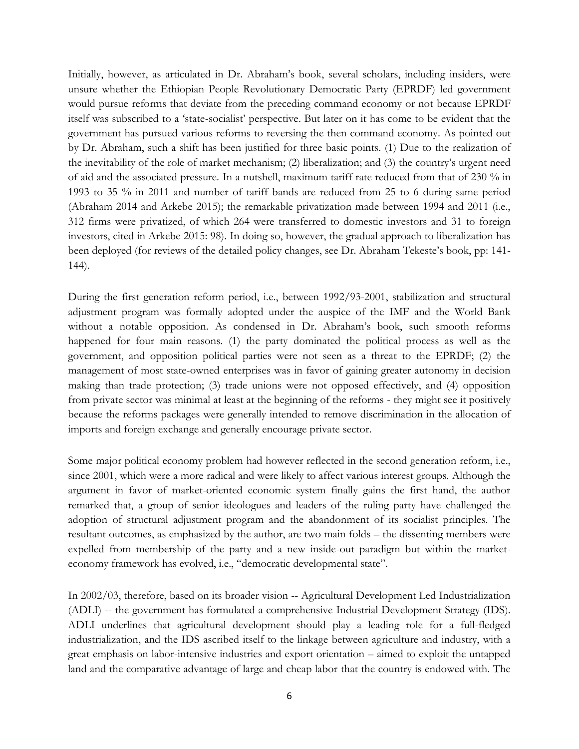Initially, however, as articulated in Dr. Abraham's book, several scholars, including insiders, were unsure whether the Ethiopian People Revolutionary Democratic Party (EPRDF) led government would pursue reforms that deviate from the preceding command economy or not because EPRDF itself was subscribed to a 'state-socialist' perspective. But later on it has come to be evident that the government has pursued various reforms to reversing the then command economy. As pointed out by Dr. Abraham, such a shift has been justified for three basic points. (1) Due to the realization of the inevitability of the role of market mechanism; (2) liberalization; and (3) the country's urgent need of aid and the associated pressure. In a nutshell, maximum tariff rate reduced from that of 230 % in 1993 to 35 % in 2011 and number of tariff bands are reduced from 25 to 6 during same period (Abraham 2014 and Arkebe 2015); the remarkable privatization made between 1994 and 2011 (i.e., 312 firms were privatized, of which 264 were transferred to domestic investors and 31 to foreign investors, cited in Arkebe 2015: 98). In doing so, however, the gradual approach to liberalization has been deployed (for reviews of the detailed policy changes, see Dr. Abraham Tekeste's book, pp: 141- 144).

During the first generation reform period, i.e., between 1992/93-2001, stabilization and structural adjustment program was formally adopted under the auspice of the IMF and the World Bank without a notable opposition. As condensed in Dr. Abraham's book, such smooth reforms happened for four main reasons. (1) the party dominated the political process as well as the government, and opposition political parties were not seen as a threat to the EPRDF; (2) the management of most state-owned enterprises was in favor of gaining greater autonomy in decision making than trade protection; (3) trade unions were not opposed effectively, and (4) opposition from private sector was minimal at least at the beginning of the reforms - they might see it positively because the reforms packages were generally intended to remove discrimination in the allocation of imports and foreign exchange and generally encourage private sector.

Some major political economy problem had however reflected in the second generation reform, i.e., since 2001, which were a more radical and were likely to affect various interest groups. Although the argument in favor of market-oriented economic system finally gains the first hand, the author remarked that, a group of senior ideologues and leaders of the ruling party have challenged the adoption of structural adjustment program and the abandonment of its socialist principles. The resultant outcomes, as emphasized by the author, are two main folds – the dissenting members were expelled from membership of the party and a new inside-out paradigm but within the marketeconomy framework has evolved, i.e., "democratic developmental state".

In 2002/03, therefore, based on its broader vision -- Agricultural Development Led Industrialization (ADLI) -- the government has formulated a comprehensive Industrial Development Strategy (IDS). ADLI underlines that agricultural development should play a leading role for a full-fledged industrialization, and the IDS ascribed itself to the linkage between agriculture and industry, with a great emphasis on labor-intensive industries and export orientation – aimed to exploit the untapped land and the comparative advantage of large and cheap labor that the country is endowed with. The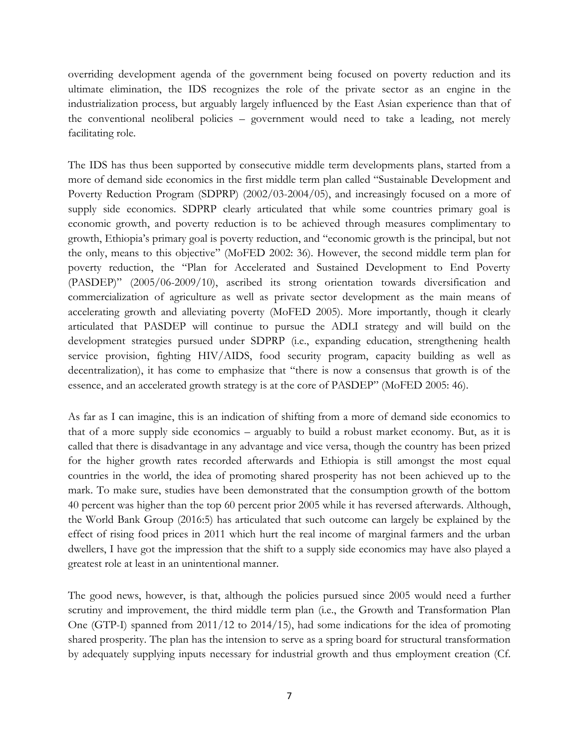overriding development agenda of the government being focused on poverty reduction and its ultimate elimination, the IDS recognizes the role of the private sector as an engine in the industrialization process, but arguably largely influenced by the East Asian experience than that of the conventional neoliberal policies – government would need to take a leading, not merely facilitating role.

The IDS has thus been supported by consecutive middle term developments plans, started from a more of demand side economics in the first middle term plan called "Sustainable Development and Poverty Reduction Program (SDPRP) (2002/03-2004/05), and increasingly focused on a more of supply side economics. SDPRP clearly articulated that while some countries primary goal is economic growth, and poverty reduction is to be achieved through measures complimentary to growth, Ethiopia's primary goal is poverty reduction, and "economic growth is the principal, but not the only, means to this objective" (MoFED 2002: 36). However, the second middle term plan for poverty reduction, the "Plan for Accelerated and Sustained Development to End Poverty (PASDEP)" (2005/06-2009/10), ascribed its strong orientation towards diversification and commercialization of agriculture as well as private sector development as the main means of accelerating growth and alleviating poverty (MoFED 2005). More importantly, though it clearly articulated that PASDEP will continue to pursue the ADLI strategy and will build on the development strategies pursued under SDPRP (i.e., expanding education, strengthening health service provision, fighting HIV/AIDS, food security program, capacity building as well as decentralization), it has come to emphasize that "there is now a consensus that growth is of the essence, and an accelerated growth strategy is at the core of PASDEP" (MoFED 2005: 46).

As far as I can imagine, this is an indication of shifting from a more of demand side economics to that of a more supply side economics – arguably to build a robust market economy. But, as it is called that there is disadvantage in any advantage and vice versa, though the country has been prized for the higher growth rates recorded afterwards and Ethiopia is still amongst the most equal countries in the world, the idea of promoting shared prosperity has not been achieved up to the mark. To make sure, studies have been demonstrated that the consumption growth of the bottom 40 percent was higher than the top 60 percent prior 2005 while it has reversed afterwards. Although, the World Bank Group (2016:5) has articulated that such outcome can largely be explained by the effect of rising food prices in 2011 which hurt the real income of marginal farmers and the urban dwellers, I have got the impression that the shift to a supply side economics may have also played a greatest role at least in an unintentional manner.

The good news, however, is that, although the policies pursued since 2005 would need a further scrutiny and improvement, the third middle term plan (i.e., the Growth and Transformation Plan One (GTP-I) spanned from 2011/12 to 2014/15), had some indications for the idea of promoting shared prosperity. The plan has the intension to serve as a spring board for structural transformation by adequately supplying inputs necessary for industrial growth and thus employment creation (Cf.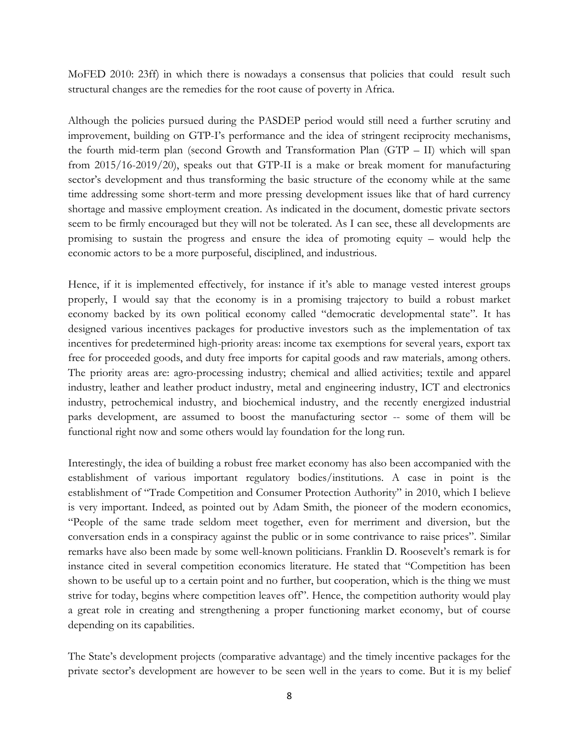MoFED 2010: 23ff) in which there is nowadays a consensus that policies that could result such structural changes are the remedies for the root cause of poverty in Africa.

Although the policies pursued during the PASDEP period would still need a further scrutiny and improvement, building on GTP-I's performance and the idea of stringent reciprocity mechanisms, the fourth mid-term plan (second Growth and Transformation Plan (GTP – II) which will span from 2015/16-2019/20), speaks out that GTP-II is a make or break moment for manufacturing sector's development and thus transforming the basic structure of the economy while at the same time addressing some short-term and more pressing development issues like that of hard currency shortage and massive employment creation. As indicated in the document, domestic private sectors seem to be firmly encouraged but they will not be tolerated. As I can see, these all developments are promising to sustain the progress and ensure the idea of promoting equity – would help the economic actors to be a more purposeful, disciplined, and industrious.

Hence, if it is implemented effectively, for instance if it's able to manage vested interest groups properly, I would say that the economy is in a promising trajectory to build a robust market economy backed by its own political economy called "democratic developmental state". It has designed various incentives packages for productive investors such as the implementation of tax incentives for predetermined high-priority areas: income tax exemptions for several years, export tax free for proceeded goods, and duty free imports for capital goods and raw materials, among others. The priority areas are: agro-processing industry; chemical and allied activities; textile and apparel industry, leather and leather product industry, metal and engineering industry, ICT and electronics industry, petrochemical industry, and biochemical industry, and the recently energized industrial parks development, are assumed to boost the manufacturing sector -- some of them will be functional right now and some others would lay foundation for the long run.

Interestingly, the idea of building a robust free market economy has also been accompanied with the establishment of various important regulatory bodies/institutions. A case in point is the establishment of "Trade Competition and Consumer Protection Authority" in 2010, which I believe is very important. Indeed, as pointed out by Adam Smith, the pioneer of the modern economics, "People of the same trade seldom meet together, even for merriment and diversion, but the conversation ends in a conspiracy against the public or in some contrivance to raise prices". Similar remarks have also been made by some well-known politicians. Franklin D. Roosevelt's remark is for instance cited in several competition economics literature. He stated that "Competition has been shown to be useful up to a certain point and no further, but cooperation, which is the thing we must strive for today, begins where competition leaves off". Hence, the competition authority would play a great role in creating and strengthening a proper functioning market economy, but of course depending on its capabilities.

The State's development projects (comparative advantage) and the timely incentive packages for the private sector's development are however to be seen well in the years to come. But it is my belief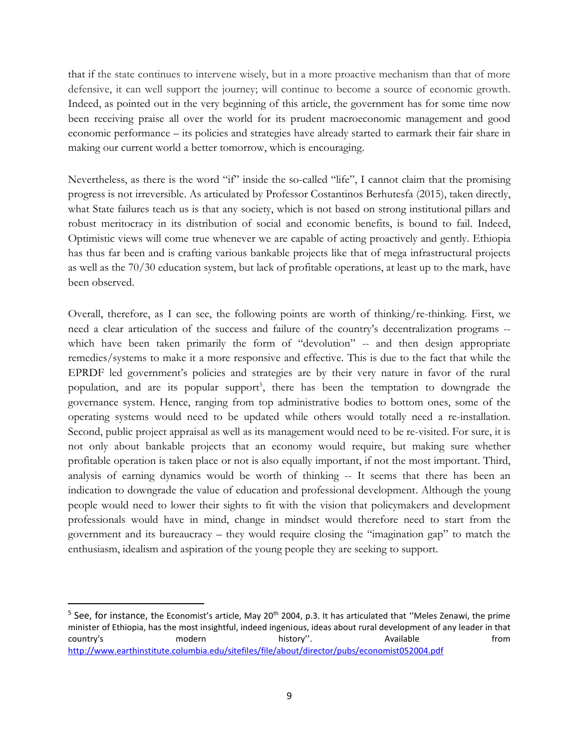that if the state continues to intervene wisely, but in a more proactive mechanism than that of more defensive, it can well support the journey; will continue to become a source of economic growth. Indeed, as pointed out in the very beginning of this article, the government has for some time now been receiving praise all over the world for its prudent macroeconomic management and good economic performance – its policies and strategies have already started to earmark their fair share in making our current world a better tomorrow, which is encouraging.

Nevertheless, as there is the word "if" inside the so-called "life", I cannot claim that the promising progress is not irreversible. As articulated by Professor Costantinos Berhutesfa (2015), taken directly, what State failures teach us is that any society, which is not based on strong institutional pillars and robust meritocracy in its distribution of social and economic benefits, is bound to fail. Indeed, Optimistic views will come true whenever we are capable of acting proactively and gently. Ethiopia has thus far been and is crafting various bankable projects like that of mega infrastructural projects as well as the 70/30 education system, but lack of profitable operations, at least up to the mark, have been observed.

Overall, therefore, as I can see, the following points are worth of thinking/re-thinking. First, we need a clear articulation of the success and failure of the country's decentralization programs - which have been taken primarily the form of "devolution" -- and then design appropriate remedies/systems to make it a more responsive and effective. This is due to the fact that while the EPRDF led government's policies and strategies are by their very nature in favor of the rural population, and are its popular support<sup>5</sup>, there has been the temptation to downgrade the governance system. Hence, ranging from top administrative bodies to bottom ones, some of the operating systems would need to be updated while others would totally need a re-installation. Second, public project appraisal as well as its management would need to be re-visited. For sure, it is not only about bankable projects that an economy would require, but making sure whether profitable operation is taken place or not is also equally important, if not the most important. Third, analysis of earning dynamics would be worth of thinking -- It seems that there has been an indication to downgrade the value of education and professional development. Although the young people would need to lower their sights to fit with the vision that policymakers and development professionals would have in mind, change in mindset would therefore need to start from the government and its bureaucracy – they would require closing the "imagination gap" to match the enthusiasm, idealism and aspiration of the young people they are seeking to support.

 $\overline{a}$ 

<sup>&</sup>lt;sup>5</sup> See, for instance, the Economist's article, May 20<sup>th</sup> 2004, p.3. It has articulated that "Meles Zenawi, the prime minister of Ethiopia, has the most insightful, indeed ingenious, ideas about rural development of any leader in that country's each or modern thistory''. Available the from <http://www.earthinstitute.columbia.edu/sitefiles/file/about/director/pubs/economist052004.pdf>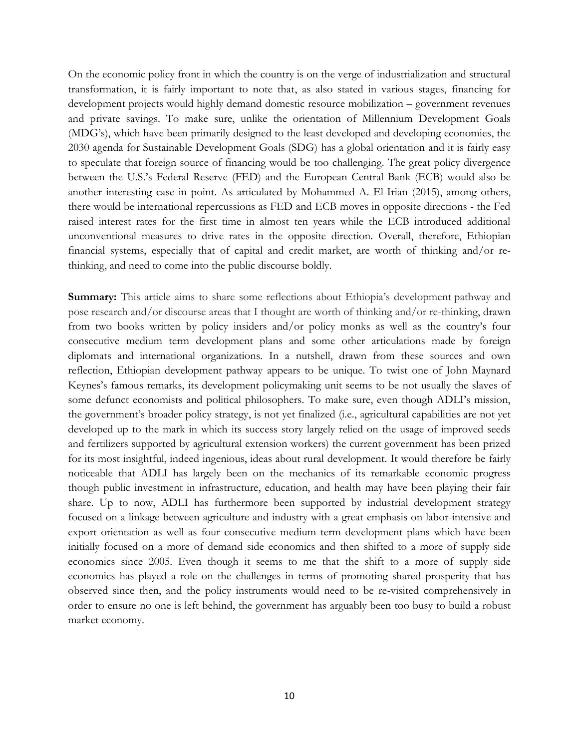On the economic policy front in which the country is on the verge of industrialization and structural transformation, it is fairly important to note that, as also stated in various stages, financing for development projects would highly demand domestic resource mobilization – government revenues and private savings. To make sure, unlike the orientation of Millennium Development Goals (MDG's), which have been primarily designed to the least developed and developing economies, the 2030 agenda for Sustainable Development Goals (SDG) has a global orientation and it is fairly easy to speculate that foreign source of financing would be too challenging. The great policy divergence between the U.S.'s Federal Reserve (FED) and the European Central Bank (ECB) would also be another interesting case in point. As articulated by Mohammed A. El-Irian (2015), among others, there would be international repercussions as FED and ECB moves in opposite directions - the Fed raised interest rates for the first time in almost ten years while the ECB introduced additional unconventional measures to drive rates in the opposite direction. Overall, therefore, Ethiopian financial systems, especially that of capital and credit market, are worth of thinking and/or rethinking, and need to come into the public discourse boldly.

**Summary:** This article aims to share some reflections about Ethiopia's development pathway and pose research and/or discourse areas that I thought are worth of thinking and/or re-thinking, drawn from two books written by policy insiders and/or policy monks as well as the country's four consecutive medium term development plans and some other articulations made by foreign diplomats and international organizations. In a nutshell, drawn from these sources and own reflection, Ethiopian development pathway appears to be unique. To twist one of John Maynard Keynes's famous remarks, its development policymaking unit seems to be not usually the slaves of some defunct economists and political philosophers. To make sure, even though ADLI's mission, the government's broader policy strategy, is not yet finalized (i.e., agricultural capabilities are not yet developed up to the mark in which its success story largely relied on the usage of improved seeds and fertilizers supported by agricultural extension workers) the current government has been prized for its most insightful, indeed ingenious, ideas about rural development. It would therefore be fairly noticeable that ADLI has largely been on the mechanics of its remarkable economic progress though public investment in infrastructure, education, and health may have been playing their fair share. Up to now, ADLI has furthermore been supported by industrial development strategy focused on a linkage between agriculture and industry with a great emphasis on labor-intensive and export orientation as well as four consecutive medium term development plans which have been initially focused on a more of demand side economics and then shifted to a more of supply side economics since 2005. Even though it seems to me that the shift to a more of supply side economics has played a role on the challenges in terms of promoting shared prosperity that has observed since then, and the policy instruments would need to be re-visited comprehensively in order to ensure no one is left behind, the government has arguably been too busy to build a robust market economy.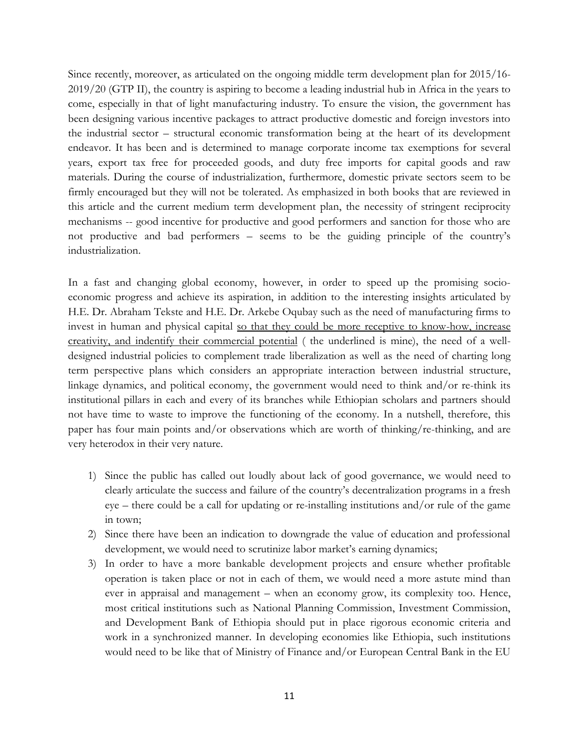Since recently, moreover, as articulated on the ongoing middle term development plan for 2015/16- 2019/20 (GTP II), the country is aspiring to become a leading industrial hub in Africa in the years to come, especially in that of light manufacturing industry. To ensure the vision, the government has been designing various incentive packages to attract productive domestic and foreign investors into the industrial sector – structural economic transformation being at the heart of its development endeavor. It has been and is determined to manage corporate income tax exemptions for several years, export tax free for proceeded goods, and duty free imports for capital goods and raw materials. During the course of industrialization, furthermore, domestic private sectors seem to be firmly encouraged but they will not be tolerated. As emphasized in both books that are reviewed in this article and the current medium term development plan, the necessity of stringent reciprocity mechanisms -- good incentive for productive and good performers and sanction for those who are not productive and bad performers – seems to be the guiding principle of the country's industrialization.

In a fast and changing global economy, however, in order to speed up the promising socioeconomic progress and achieve its aspiration, in addition to the interesting insights articulated by H.E. Dr. Abraham Tekste and H.E. Dr. Arkebe Oqubay such as the need of manufacturing firms to invest in human and physical capital so that they could be more receptive to know-how, increase creativity, and indentify their commercial potential ( the underlined is mine), the need of a welldesigned industrial policies to complement trade liberalization as well as the need of charting long term perspective plans which considers an appropriate interaction between industrial structure, linkage dynamics, and political economy, the government would need to think and/or re-think its institutional pillars in each and every of its branches while Ethiopian scholars and partners should not have time to waste to improve the functioning of the economy. In a nutshell, therefore, this paper has four main points and/or observations which are worth of thinking/re-thinking, and are very heterodox in their very nature.

- 1) Since the public has called out loudly about lack of good governance, we would need to clearly articulate the success and failure of the country's decentralization programs in a fresh eye – there could be a call for updating or re-installing institutions and/or rule of the game in town;
- 2) Since there have been an indication to downgrade the value of education and professional development, we would need to scrutinize labor market's earning dynamics;
- 3) In order to have a more bankable development projects and ensure whether profitable operation is taken place or not in each of them, we would need a more astute mind than ever in appraisal and management – when an economy grow, its complexity too. Hence, most critical institutions such as National Planning Commission, Investment Commission, and Development Bank of Ethiopia should put in place rigorous economic criteria and work in a synchronized manner. In developing economies like Ethiopia, such institutions would need to be like that of Ministry of Finance and/or European Central Bank in the EU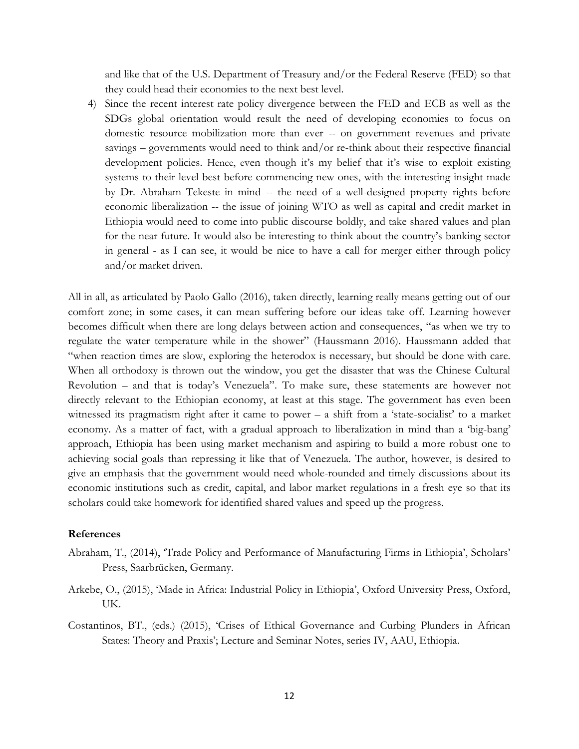and like that of the U.S. Department of Treasury and/or the Federal Reserve (FED) so that they could head their economies to the next best level.

4) Since the recent interest rate policy divergence between the FED and ECB as well as the SDGs global orientation would result the need of developing economies to focus on domestic resource mobilization more than ever -- on government revenues and private savings  $-$  governments would need to think and/or re-think about their respective financial development policies. Hence, even though it's my belief that it's wise to exploit existing systems to their level best before commencing new ones, with the interesting insight made by Dr. Abraham Tekeste in mind -- the need of a well-designed property rights before economic liberalization -- the issue of joining WTO as well as capital and credit market in Ethiopia would need to come into public discourse boldly, and take shared values and plan for the near future. It would also be interesting to think about the country's banking sector in general - as I can see, it would be nice to have a call for merger either through policy and/or market driven.

All in all, as articulated by Paolo Gallo (2016), taken directly, learning really means getting out of our comfort zone; in some cases, it can mean suffering before our ideas take off. Learning however becomes difficult when there are long delays between action and consequences, "as when we try to regulate the water temperature while in the shower" (Haussmann 2016). Haussmann added that "when reaction times are slow, exploring the heterodox is necessary, but should be done with care. When all orthodoxy is thrown out the window, you get the disaster that was the Chinese Cultural Revolution – and that is today's Venezuela". To make sure, these statements are however not directly relevant to the Ethiopian economy, at least at this stage. The government has even been witnessed its pragmatism right after it came to power – a shift from a 'state-socialist' to a market economy. As a matter of fact, with a gradual approach to liberalization in mind than a 'big-bang' approach, Ethiopia has been using market mechanism and aspiring to build a more robust one to achieving social goals than repressing it like that of Venezuela. The author, however, is desired to give an emphasis that the government would need whole-rounded and timely discussions about its economic institutions such as credit, capital, and labor market regulations in a fresh eye so that its scholars could take homework for identified shared values and speed up the progress.

## **References**

- Abraham, T., (2014), 'Trade Policy and Performance of Manufacturing Firms in Ethiopia', Scholars' Press, Saarbrücken, Germany.
- Arkebe, O., (2015), 'Made in Africa: Industrial Policy in Ethiopia', Oxford University Press, Oxford, UK.
- Costantinos, BT., (eds.) (2015), 'Crises of Ethical Governance and Curbing Plunders in African States: Theory and Praxis'; Lecture and Seminar Notes, series IV, AAU, Ethiopia.